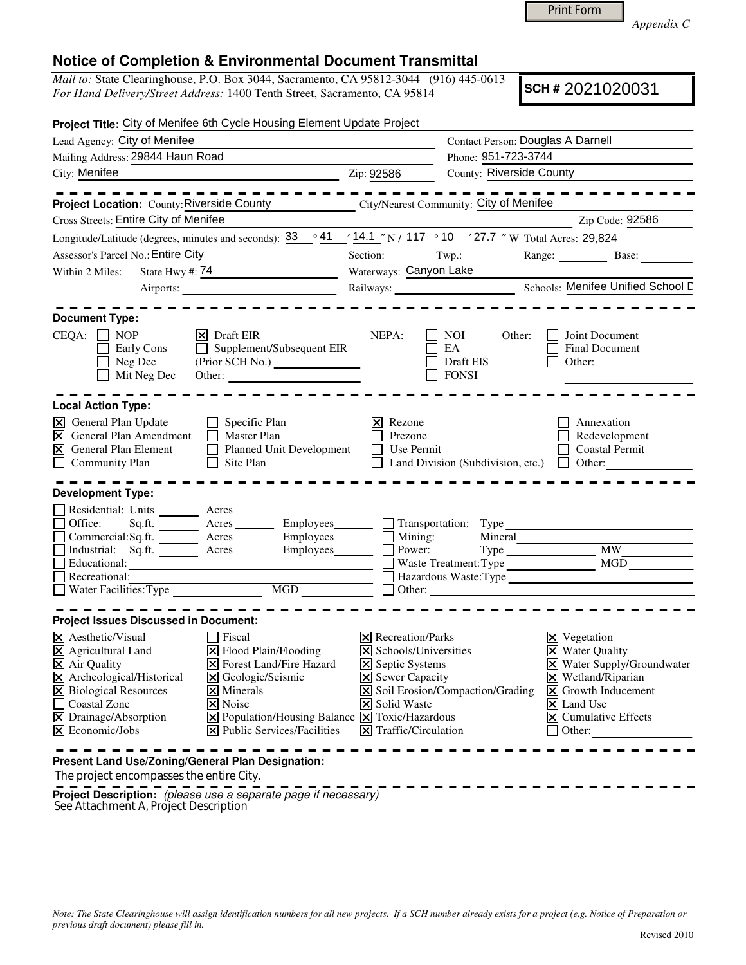Print Form

*Appendix C* 

## **Notice of Completion & Environmental Document Transmittal**

*Mail to:* State Clearinghouse, P.O. Box 3044, Sacramento, CA 95812-3044 (916) 445-0613 *For Hand Delivery/Street Address:* 1400 Tenth Street, Sacramento, CA 95814

**SCH #** 2021020031

| Project Title: City of Menifee 6th Cycle Housing Element Update Project                                                                                                                                                                                                                                                              |                                                                                                                                                                                                                                                                                               |                                                             |                                                                                                                         |                                                                                                                                        |  |
|--------------------------------------------------------------------------------------------------------------------------------------------------------------------------------------------------------------------------------------------------------------------------------------------------------------------------------------|-----------------------------------------------------------------------------------------------------------------------------------------------------------------------------------------------------------------------------------------------------------------------------------------------|-------------------------------------------------------------|-------------------------------------------------------------------------------------------------------------------------|----------------------------------------------------------------------------------------------------------------------------------------|--|
| Lead Agency: City of Menifee                                                                                                                                                                                                                                                                                                         |                                                                                                                                                                                                                                                                                               |                                                             | Contact Person: Douglas A Darnell                                                                                       |                                                                                                                                        |  |
| Mailing Address: 29844 Haun Road                                                                                                                                                                                                                                                                                                     |                                                                                                                                                                                                                                                                                               |                                                             |                                                                                                                         | Phone: 951-723-3744                                                                                                                    |  |
| City: Menifee<br>$\frac{1}{2}$ $\frac{1}{2}$ $\frac{1}{2}$ $\frac{1}{2}$ $\frac{1}{2}$ $\frac{1}{2}$ $\frac{1}{2}$ $\frac{1}{2}$ $\frac{1}{2}$ $\frac{1}{2}$ $\frac{1}{2}$ $\frac{1}{2}$ $\frac{1}{2}$ $\frac{1}{2}$ $\frac{1}{2}$ $\frac{1}{2}$ $\frac{1}{2}$ $\frac{1}{2}$ $\frac{1}{2}$ $\frac{1}{2}$ $\frac{1}{2}$ $\frac{1}{2}$ |                                                                                                                                                                                                                                                                                               |                                                             |                                                                                                                         | County: Riverside County                                                                                                               |  |
|                                                                                                                                                                                                                                                                                                                                      | . _ _ _ _ _ _ _ _ _                                                                                                                                                                                                                                                                           |                                                             |                                                                                                                         | . _ _ _ _ _ _ _ _ _ _                                                                                                                  |  |
| Project Location: County: Riverside County City/Nearest Community: City of Menifee                                                                                                                                                                                                                                                   |                                                                                                                                                                                                                                                                                               |                                                             |                                                                                                                         |                                                                                                                                        |  |
| Cross Streets: Entire City of Menifee                                                                                                                                                                                                                                                                                                |                                                                                                                                                                                                                                                                                               |                                                             |                                                                                                                         | Zip Code: 92586                                                                                                                        |  |
| Longitude/Latitude (degrees, minutes and seconds): $33 \cdot 941 / 14.1$ N $/ 117 \cdot 10 / 27.7$ W Total Acres: 29,824                                                                                                                                                                                                             |                                                                                                                                                                                                                                                                                               |                                                             |                                                                                                                         |                                                                                                                                        |  |
| Assessor's Parcel No.: Entire City                                                                                                                                                                                                                                                                                                   |                                                                                                                                                                                                                                                                                               |                                                             |                                                                                                                         |                                                                                                                                        |  |
| Within 2 Miles:                                                                                                                                                                                                                                                                                                                      |                                                                                                                                                                                                                                                                                               | Section: Twp.: Twp.: Range: Base:<br>Waterways: Canyon Lake |                                                                                                                         |                                                                                                                                        |  |
|                                                                                                                                                                                                                                                                                                                                      |                                                                                                                                                                                                                                                                                               |                                                             |                                                                                                                         |                                                                                                                                        |  |
|                                                                                                                                                                                                                                                                                                                                      | -----------------------                                                                                                                                                                                                                                                                       |                                                             |                                                                                                                         |                                                                                                                                        |  |
| <b>Document Type:</b>                                                                                                                                                                                                                                                                                                                |                                                                                                                                                                                                                                                                                               |                                                             |                                                                                                                         |                                                                                                                                        |  |
| $CEQA: \Box NP$<br>$ \mathsf{X} $ Draft EIR<br>Early Cons<br>$\Box$ Neg Dec<br>Mit Neg Dec                                                                                                                                                                                                                                           | Supplement/Subsequent EIR<br>Other: $\qquad \qquad$                                                                                                                                                                                                                                           | NEPA:                                                       | NOI 11<br>Other:<br>$\perp$<br>EA<br>$\Box$ Draft EIS<br><b>FONSI</b>                                                   | $\Box$ Joint Document<br>Final Document<br>$\Box$ Other:                                                                               |  |
| <b>Local Action Type:</b>                                                                                                                                                                                                                                                                                                            | $\frac{1}{2}$ and $\frac{1}{2}$ and $\frac{1}{2}$ and $\frac{1}{2}$ and $\frac{1}{2}$ and $\frac{1}{2}$ and $\frac{1}{2}$ and $\frac{1}{2}$ and $\frac{1}{2}$ and $\frac{1}{2}$ and $\frac{1}{2}$ and $\frac{1}{2}$ and $\frac{1}{2}$ and $\frac{1}{2}$ and $\frac{1}{2}$ and $\frac{1}{2}$ a |                                                             |                                                                                                                         |                                                                                                                                        |  |
| <b>X</b> General Plan Update<br>$\overline{\mathbf{X}}$<br>General Plan Amendment   Master Plan<br>$\boxtimes$<br>General Plan Element<br>Community Plan<br>$\Box$ Site Plan                                                                                                                                                         | $\Box$ Specific Plan<br>Planned Unit Development                                                                                                                                                                                                                                              | $\times$ Rezone<br>$\Box$ Prezone<br>$\Box$ Use Permit      |                                                                                                                         | Annexation<br>Redevelopment<br><b>Coastal Permit</b><br>□ Land Division (Subdivision, etc.) □ Other:                                   |  |
| <b>Development Type:</b>                                                                                                                                                                                                                                                                                                             |                                                                                                                                                                                                                                                                                               |                                                             |                                                                                                                         |                                                                                                                                        |  |
| Residential: Units ________ Acres _______<br>Office:<br>Commercial:Sq.ft. ________ Acres _________ Employees ________ __ Mining:<br>Industrial: Sq.ft. <u>Acres</u> Acres Employees and Employees<br>$\Box$ Recreational:                                                                                                            |                                                                                                                                                                                                                                                                                               | Power:                                                      |                                                                                                                         | Sq.ft. ________ Acres _________ Employees _______ __ Transportation: Type _________________________<br>Mineral<br>Hazardous Waste:Type |  |
| <b>Project Issues Discussed in Document:</b>                                                                                                                                                                                                                                                                                         |                                                                                                                                                                                                                                                                                               |                                                             |                                                                                                                         |                                                                                                                                        |  |
| $\times$ Aesthetic/Visual<br><b>□</b> Fiscal<br>$\overline{\boxtimes}$ Agricultural Land                                                                                                                                                                                                                                             | X Flood Plain/Flooding                                                                                                                                                                                                                                                                        | <b>X</b> Recreation/Parks<br>X Schools/Universities         | $\overline{\boxtimes}$ Air Quality $\overline{\boxtimes}$ Forest Land/Fire Hazard $\overline{\boxtimes}$ Septic Systems | $\mathbf{\times}$ Vegetation<br><b>X</b> Water Quality<br>X Water Supply/Groundwater                                                   |  |

The project encompasses the entire City.

**Project Description:** (please use a separate page if necessary) See Attachment A, Project Description